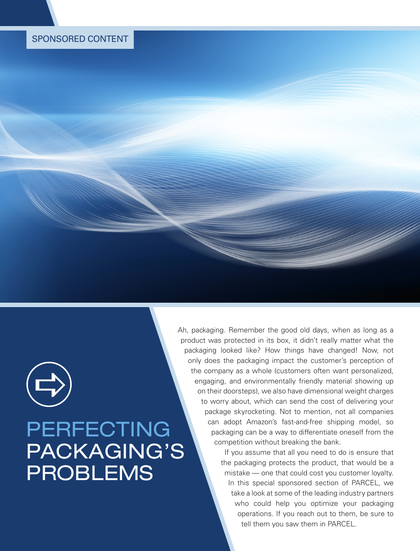# SPONSORED CONTENT

# PERFECTING PACKAGING'S PROBLEMS  $\bigoplus$

Ah, packaging. Remember the good old days, when as long as a product was protected in its box, it didn't really matter what the packaging looked like? How things have changed! Now, not only does the packaging impact the customer's perception of the company as a whole (customers often want personalized, engaging, and environmentally friendly material showing up on their doorsteps), we also have dimensional weight charges to worry about, which can send the cost of delivering your package skyrocketing. Not to mention, not all companies can adopt Amazon's fast-and-free shipping model, so packaging can be a way to differentiate oneself from the competition without breaking the bank.

> If you assume that all you need to do is ensure that the packaging protects the product, that would be a mistake — one that could cost you customer loyalty. In this special sponsored section of PARCEL, we take a look at some of the leading industry partners who could help you optimize your packaging operations. If you reach out to them, be sure to tell them you saw them in PARCEL.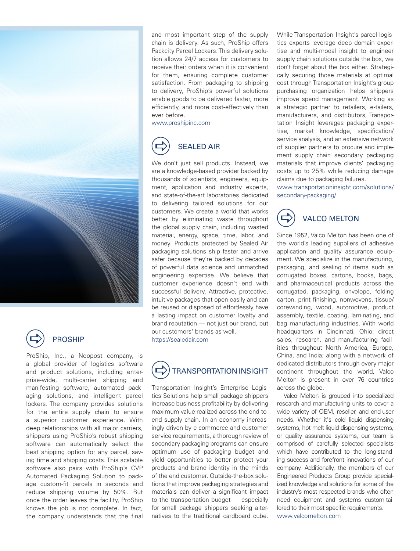



## PROSHIP

ProShip, Inc., a Neopost company, is a global provider of logistics software and product solutions, including enterprise-wide, multi-carrier shipping and manifesting software, automated packaging solutions, and intelligent parcel lockers. The company provides solutions for the entire supply chain to ensure a superior customer experience. With deep relationships with all major carriers, shippers using ProShip's robust shipping software can automatically select the best shipping option for any parcel, saving time and shipping costs. This scalable software also pairs with ProShip's CVP Automated Packaging Solution to package custom-fit parcels in seconds and reduce shipping volume by 50%. But once the order leaves the facility, ProShip knows the job is not complete. In fact, the company understands that the final and most important step of the supply chain is delivery. As such, ProShip offers Packcity Parcel Lockers. This delivery solution allows 24/7 access for customers to receive their orders when it is convenient for them, ensuring complete customer satisfaction. From packaging to shipping to delivery, ProShip's powerful solutions enable goods to be delivered faster, more efficiently, and more cost-effectively than ever before.

www.proshipinc.com

### SEALED AIR  $\bigoplus$

We don't just sell products. Instead, we are a knowledge-based provider backed by thousands of scientists, engineers, equipment, application and industry experts, and state-of-the-art laboratories dedicated to delivering tailored solutions for our customers. We create a world that works better by eliminating waste throughout the global supply chain, including wasted material, energy, space, time, labor, and money. Products protected by Sealed Air packaging solutions ship faster and arrive safer because they're backed by decades of powerful data science and unmatched engineering expertise. We believe that customer experience doesn't end with successful delivery. Attractive, protective, intuitive packages that open easily and can be reused or disposed of effortlessly have a lasting impact on customer loyalty and brand reputation — not just our brand, but our customers' brands as well. https://sealedair.com



Transportation Insight's Enterprise Logistics Solutions help small package shippers increase business profitability by delivering maximum value realized across the end-toend supply chain. In an economy increasingly driven by e-commerce and customer service requirements, a thorough review of secondary packaging programs can ensure optimum use of packaging budget and yield opportunities to better protect your products and brand identity in the minds of the end customer. Outside-the-box solutions that improve packaging strategies and materials can deliver a significant impact to the transportation budget — especially for small package shippers seeking alternatives to the traditional cardboard cube.

While Transportation Insight's parcel logistics experts leverage deep domain expertise and multi-modal insight to engineer supply chain solutions outside the box, we don't forget about the box either. Strategically securing those materials at optimal cost through Transportation Insight's group purchasing organization helps shippers improve spend management. Working as a strategic partner to retailers, e-tailers, manufacturers, and distributors, Transportation Insight leverages packaging expertise, market knowledge, specification/ service analysis, and an extensive network of supplier partners to procure and implement supply chain secondary packaging materials that improve clients' packaging costs up to 25% while reducing damage claims due to packaging failures.

www.transportationinsight.com/solutions/ secondary-packaging/



Since 1952, Valco Melton has been one of the world's leading suppliers of adhesive application and quality assurance equipment. We specialize in the manufacturing, packaging, and sealing of items such as corrugated boxes, cartons, books, bags, and pharmaceutical products across the corrugated, packaging, envelope, folding carton, print finishing, nonwovens, tissue/ corewinding, wood, automotive, product assembly, textile, coating, laminating, and bag manufacturing industries. With world headquarters in Cincinnati, Ohio; direct sales, research, and manufacturing facilities throughout North America, Europe, China, and India; along with a network of dedicated distributors through every major continent throughout the world, Valco Melton is present in over 76 countries across the globe.

Valco Melton is grouped into specialized research and manufacturing units to cover a wide variety of OEM, reseller, and end-user needs. Whether it's cold liquid dispensing systems, hot melt liquid dispensing systems, or quality assurance systems, our team is comprised of carefully selected specialists which have contributed to the long-standing success and forefront innovations of our company. Additionally, the members of our Engineered Products Group provide specialized knowledge and solutions for some of the industry's most respected brands who often need equipment and systems custom-tailored to their most specific requirements. www.valcomelton.com